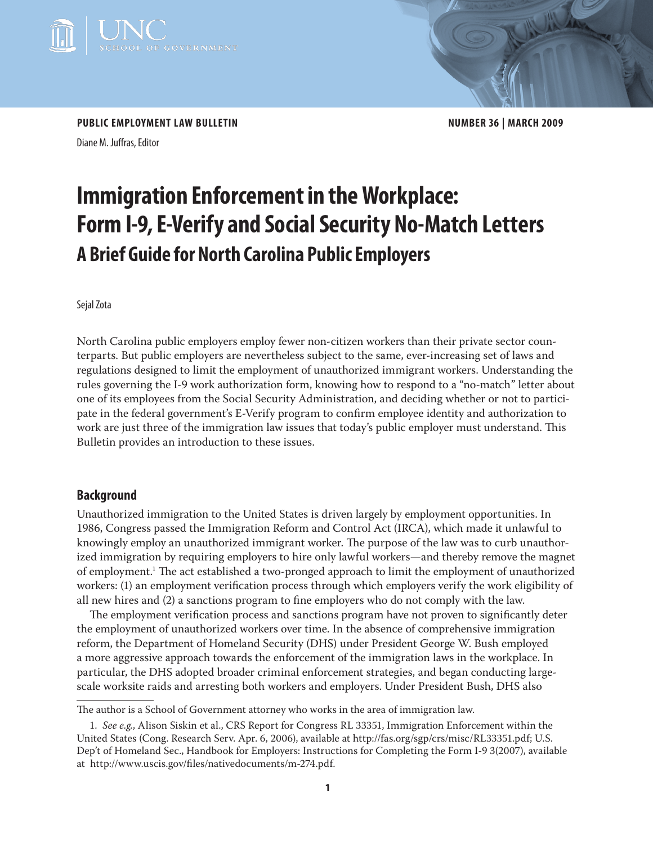

PUBLIC EMPLOYMENT LAW BULLETIN **NUMBER 36 | MARCH 2009** 

Diane M. Juffras, Editor

# **Immigration Enforcement in the Workplace: Form I-9, E-Verify and Social Security No-Match Letters A Brief Guide for North Carolina Public Employers**

## Sejal Zota

North Carolina public employers employ fewer non-citizen workers than their private sector counterparts. But public employers are nevertheless subject to the same, ever-increasing set of laws and regulations designed to limit the employment of unauthorized immigrant workers. Understanding the rules governing the I-9 work authorization form, knowing how to respond to a "no-match" letter about one of its employees from the Social Security Administration, and deciding whether or not to participate in the federal government's E-Verify program to confirm employee identity and authorization to work are just three of the immigration law issues that today's public employer must understand. This Bulletin provides an introduction to these issues.

# **Background**

Unauthorized immigration to the United States is driven largely by employment opportunities. In 1986, Congress passed the Immigration Reform and Control Act (IRCA), which made it unlawful to knowingly employ an unauthorized immigrant worker. The purpose of the law was to curb unauthorized immigration by requiring employers to hire only lawful workers—and thereby remove the magnet of employment.1 The act established a two-pronged approach to limit the employment of unauthorized workers: (1) an employment verification process through which employers verify the work eligibility of all new hires and (2) a sanctions program to fine employers who do not comply with the law.

The employment verification process and sanctions program have not proven to significantly deter the employment of unauthorized workers over time. In the absence of comprehensive immigration reform, the Department of Homeland Security (DHS) under President George W. Bush employed a more aggressive approach towards the enforcement of the immigration laws in the workplace. In particular, the DHS adopted broader criminal enforcement strategies, and began conducting largescale worksite raids and arresting both workers and employers. Under President Bush, DHS also

The author is a School of Government attorney who works in the area of immigration law.

<sup>1.</sup> *See e.g.*, Alison Siskin et al., CRS Report for Congress RL 33351, Immigration Enforcement within the United States (Cong. Research Serv. Apr. 6, 2006), available at http://fas.org/sgp/crs/misc/RL33351.pdf; U.S. Dep't of Homeland Sec., Handbook for Employers: Instructions for Completing the Form I-9 3(2007), available at http://www.uscis.gov/files/nativedocuments/m-274.pdf.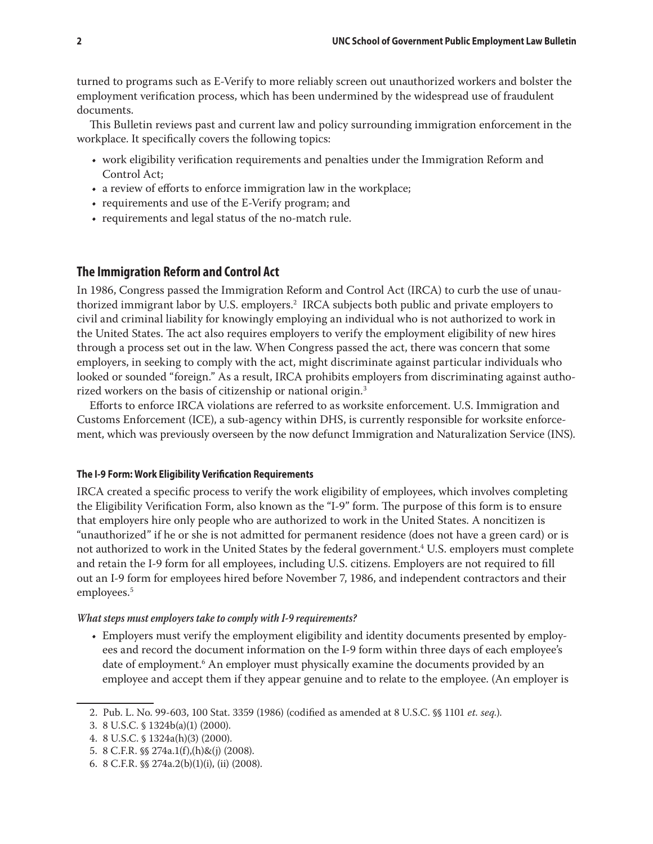turned to programs such as E-Verify to more reliably screen out unauthorized workers and bolster the employment verification process, which has been undermined by the widespread use of fraudulent documents.

This Bulletin reviews past and current law and policy surrounding immigration enforcement in the workplace. It specifically covers the following topics:

- • work eligibility verification requirements and penalties under the Immigration Reform and Control Act;
- a review of efforts to enforce immigration law in the workplace;
- requirements and use of the E-Verify program; and
- requirements and legal status of the no-match rule.

## **The Immigration Reform and Control Act**

In 1986, Congress passed the Immigration Reform and Control Act (IRCA) to curb the use of unauthorized immigrant labor by U.S. employers.2 IRCA subjects both public and private employers to civil and criminal liability for knowingly employing an individual who is not authorized to work in the United States. The act also requires employers to verify the employment eligibility of new hires through a process set out in the law. When Congress passed the act, there was concern that some employers, in seeking to comply with the act, might discriminate against particular individuals who looked or sounded "foreign." As a result, IRCA prohibits employers from discriminating against authorized workers on the basis of citizenship or national origin.<sup>3</sup>

Efforts to enforce IRCA violations are referred to as worksite enforcement. U.S. Immigration and Customs Enforcement (ICE), a sub-agency within DHS, is currently responsible for worksite enforcement, which was previously overseen by the now defunct Immigration and Naturalization Service (INS).

#### **The I-9 Form: Work Eligibility Verification Requirements**

IRCA created a specific process to verify the work eligibility of employees, which involves completing the Eligibility Verification Form, also known as the "I-9" form. The purpose of this form is to ensure that employers hire only people who are authorized to work in the United States. A noncitizen is "unauthorized" if he or she is not admitted for permanent residence (does not have a green card) or is not authorized to work in the United States by the federal government.<sup>4</sup> U.S. employers must complete and retain the I-9 form for all employees, including U.S. citizens. Employers are not required to fill out an I-9 form for employees hired before November 7, 1986, and independent contractors and their employees.<sup>5</sup>

#### *What steps must employers take to comply with I-9 requirements?*

• Employers must verify the employment eligibility and identity documents presented by employees and record the document information on the I-9 form within three days of each employee's date of employment.<sup>6</sup> An employer must physically examine the documents provided by an employee and accept them if they appear genuine and to relate to the employee. (An employer is

<sup>2.</sup> Pub. L. No. 99-603, 100 Stat. 3359 (1986) (codified as amended at 8 U.S.C. §§ 1101 *et. seq.*).

<sup>3.</sup> 8 U.S.C. § 1324b(a)(1) (2000).

<sup>4.</sup> 8 U.S.C. § 1324a(h)(3) (2000).

<sup>5.</sup> 8 C.F.R. §§ 274a.1(f),(h)&(j) (2008).

<sup>6.</sup> 8 C.F.R. §§ 274a.2(b)(1)(i), (ii) (2008).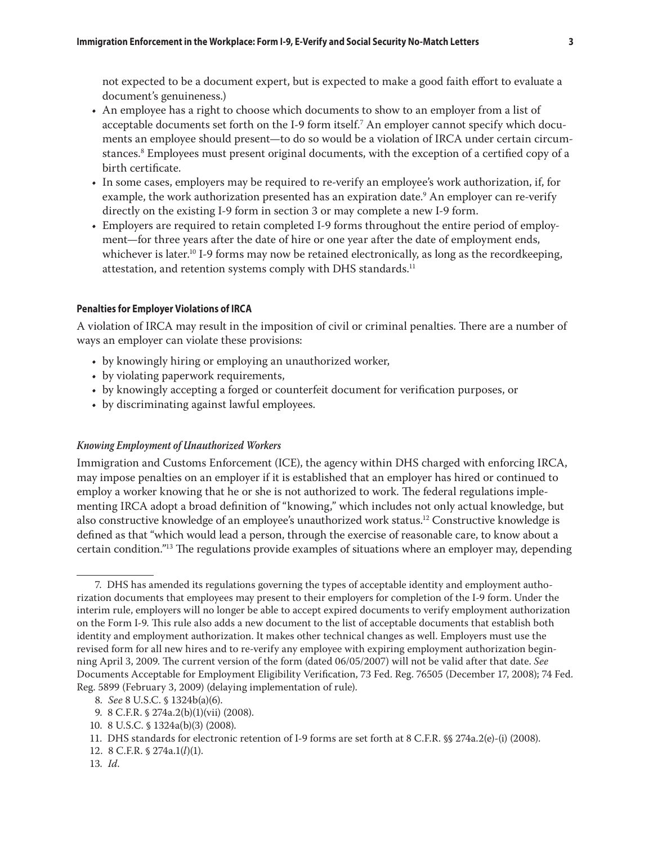not expected to be a document expert, but is expected to make a good faith effort to evaluate a document's genuineness.)

- • An employee has a right to choose which documents to show to an employer from a list of acceptable documents set forth on the I-9 form itself.7 An employer cannot specify which documents an employee should present—to do so would be a violation of IRCA under certain circumstances.8 Employees must present original documents, with the exception of a certified copy of a birth certificate.
- • In some cases, employers may be required to re-verify an employee's work authorization, if, for example, the work authorization presented has an expiration date.<sup>9</sup> An employer can re-verify directly on the existing I-9 form in section 3 or may complete a new I-9 form.
- Employers are required to retain completed I-9 forms throughout the entire period of employment—for three years after the date of hire or one year after the date of employment ends, whichever is later.<sup>10</sup> I-9 forms may now be retained electronically, as long as the recordkeeping, attestation, and retention systems comply with DHS standards.<sup>11</sup>

#### **Penalties for Employer Violations of IRCA**

A violation of IRCA may result in the imposition of civil or criminal penalties. There are a number of ways an employer can violate these provisions:

- by knowingly hiring or employing an unauthorized worker,
- by violating paperwork requirements,
- • by knowingly accepting a forged or counterfeit document for verification purposes, or
- by discriminating against lawful employees.

## *Knowing Employment of Unauthorized Workers*

Immigration and Customs Enforcement (ICE), the agency within DHS charged with enforcing IRCA, may impose penalties on an employer if it is established that an employer has hired or continued to employ a worker knowing that he or she is not authorized to work. The federal regulations implementing IRCA adopt a broad definition of "knowing," which includes not only actual knowledge, but also constructive knowledge of an employee's unauthorized work status.12 Constructive knowledge is defined as that "which would lead a person, through the exercise of reasonable care, to know about a certain condition."13 The regulations provide examples of situations where an employer may, depending

<sup>7.</sup> DHS has amended its regulations governing the types of acceptable identity and employment authorization documents that employees may present to their employers for completion of the I-9 form. Under the interim rule, employers will no longer be able to accept expired documents to verify employment authorization on the Form I-9. This rule also adds a new document to the list of acceptable documents that establish both identity and employment authorization. It makes other technical changes as well. Employers must use the revised form for all new hires and to re-verify any employee with expiring employment authorization beginning April 3, 2009. The current version of the form (dated 06/05/2007) will not be valid after that date. *See*  Documents Acceptable for Employment Eligibility Verification, 73 Fed. Reg. 76505 (December 17, 2008); 74 Fed. Reg. 5899 (February 3, 2009) (delaying implementation of rule).

<sup>8</sup>*. See* 8 U.S.C. § 1324b(a)(6).

<sup>9.</sup> 8 C.F.R. § 274a.2(b)(1)(vii) (2008).

<sup>10.</sup> 8 U.S.C. § 1324a(b)(3) (2008).

<sup>11.</sup> DHS standards for electronic retention of I-9 forms are set forth at 8 C.F.R. §§ 274a.2(e)-(i) (2008).

<sup>12.</sup> 8 C.F.R. § 274a.1(*l*)(1).

<sup>13</sup>*. Id*.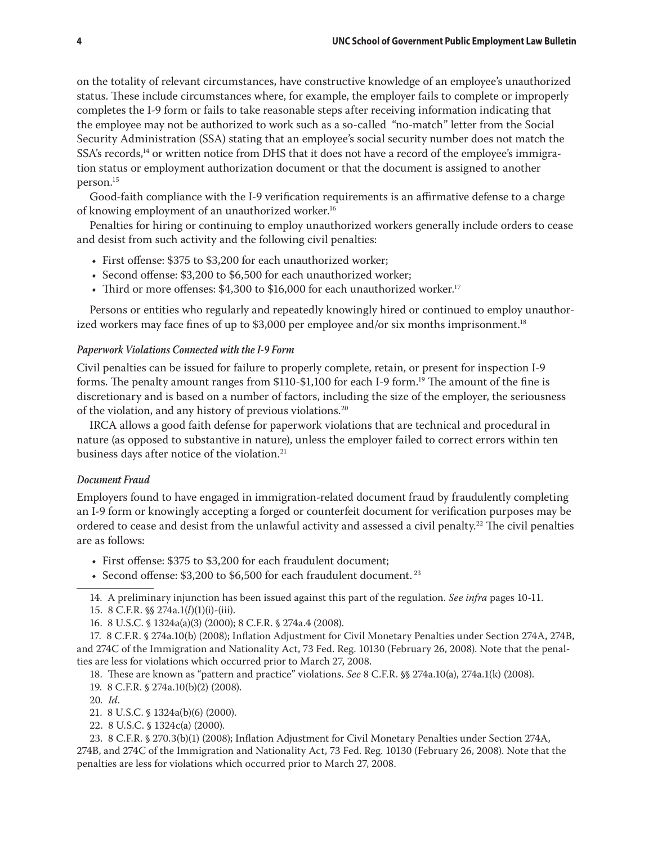on the totality of relevant circumstances, have constructive knowledge of an employee's unauthorized status. These include circumstances where, for example, the employer fails to complete or improperly completes the I-9 form or fails to take reasonable steps after receiving information indicating that the employee may not be authorized to work such as a so-called "no-match" letter from the Social Security Administration (SSA) stating that an employee's social security number does not match the SSA's records,<sup>14</sup> or written notice from DHS that it does not have a record of the employee's immigration status or employment authorization document or that the document is assigned to another person.15

Good-faith compliance with the I-9 verification requirements is an affirmative defense to a charge of knowing employment of an unauthorized worker.<sup>16</sup>

Penalties for hiring or continuing to employ unauthorized workers generally include orders to cease and desist from such activity and the following civil penalties:

- First offense: \$375 to \$3,200 for each unauthorized worker;
- Second offense: \$3,200 to \$6,500 for each unauthorized worker;
- Third or more offenses: \$4,300 to \$16,000 for each unauthorized worker.<sup>17</sup>

Persons or entities who regularly and repeatedly knowingly hired or continued to employ unauthorized workers may face fines of up to \$3,000 per employee and/or six months imprisonment.<sup>18</sup>

#### *Paperwork Violations Connected with the I-9 Form*

Civil penalties can be issued for failure to properly complete, retain, or present for inspection I-9 forms. The penalty amount ranges from \$110-\$1,100 for each I-9 form.<sup>19</sup> The amount of the fine is discretionary and is based on a number of factors, including the size of the employer, the seriousness of the violation, and any history of previous violations.20

IRCA allows a good faith defense for paperwork violations that are technical and procedural in nature (as opposed to substantive in nature), unless the employer failed to correct errors within ten business days after notice of the violation.<sup>21</sup>

## *Document Fraud*

Employers found to have engaged in immigration-related document fraud by fraudulently completing an I-9 form or knowingly accepting a forged or counterfeit document for verification purposes may be ordered to cease and desist from the unlawful activity and assessed a civil penalty.<sup>22</sup> The civil penalties are as follows:

- First offense: \$375 to \$3,200 for each fraudulent document;
- Second offense: \$3,200 to \$6,500 for each fraudulent document.<sup>23</sup>
- 14. A preliminary injunction has been issued against this part of the regulation. *See infra* pages 10-11.
- 15. 8 C.F.R. §§ 274a.1(*l*)(1)(i)-(iii).
- 16. 8 U.S.C. § 1324a(a)(3) (2000); 8 C.F.R. § 274a.4 (2008).

17. 8 C.F.R. § 274a.10(b) (2008); Inflation Adjustment for Civil Monetary Penalties under Section 274A, 274B, and 274C of the Immigration and Nationality Act, 73 Fed. Reg. 10130 (February 26, 2008). Note that the penalties are less for violations which occurred prior to March 27, 2008.

18. These are known as "pattern and practice" violations. *See* 8 C.F.R. §§ 274a.10(a), 274a.1(k) (2008).

- 19. 8 C.F.R. § 274a.10(b)(2) (2008).
- 20*. Id*.
- 21. 8 U.S.C. § 1324a(b)(6) (2000).
- 22. 8 U.S.C. § 1324c(a) (2000).

23. 8 C.F.R. § 270.3(b)(1) (2008); Inflation Adjustment for Civil Monetary Penalties under Section 274A, 274B, and 274C of the Immigration and Nationality Act, 73 Fed. Reg. 10130 (February 26, 2008). Note that the penalties are less for violations which occurred prior to March 27, 2008.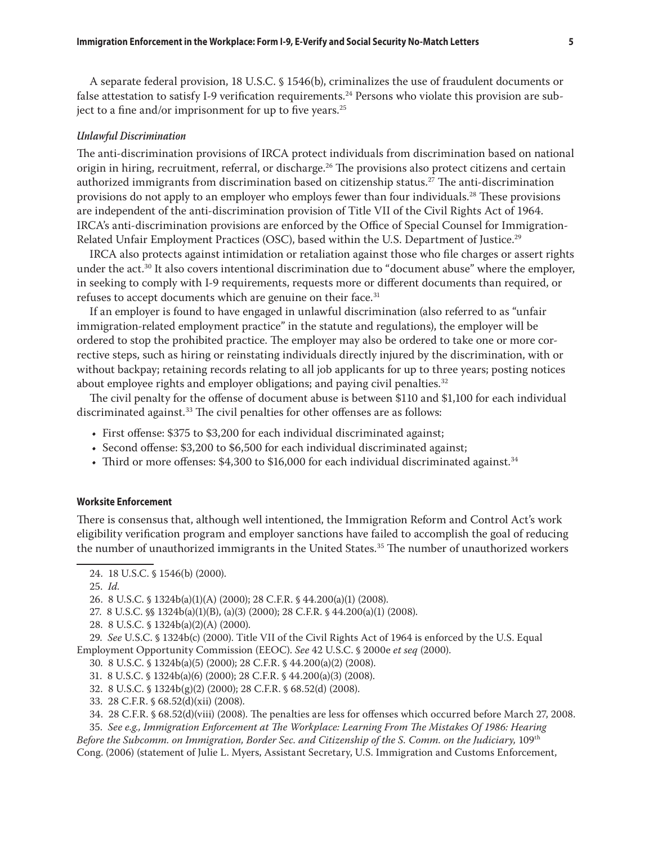A separate federal provision, 18 U.S.C. § 1546(b), criminalizes the use of fraudulent documents or false attestation to satisfy I-9 verification requirements.<sup>24</sup> Persons who violate this provision are subject to a fine and/or imprisonment for up to five years.<sup>25</sup>

#### *Unlawful Discrimination*

The anti-discrimination provisions of IRCA protect individuals from discrimination based on national origin in hiring, recruitment, referral, or discharge.<sup>26</sup> The provisions also protect citizens and certain authorized immigrants from discrimination based on citizenship status.<sup>27</sup> The anti-discrimination provisions do not apply to an employer who employs fewer than four individuals.28 These provisions are independent of the anti-discrimination provision of Title VII of the Civil Rights Act of 1964. IRCA's anti-discrimination provisions are enforced by the Office of Special Counsel for Immigration-Related Unfair Employment Practices (OSC), based within the U.S. Department of Justice.<sup>29</sup>

IRCA also protects against intimidation or retaliation against those who file charges or assert rights under the act.<sup>30</sup> It also covers intentional discrimination due to "document abuse" where the employer, in seeking to comply with I-9 requirements, requests more or different documents than required, or refuses to accept documents which are genuine on their face.<sup>31</sup>

If an employer is found to have engaged in unlawful discrimination (also referred to as "unfair immigration-related employment practice" in the statute and regulations), the employer will be ordered to stop the prohibited practice. The employer may also be ordered to take one or more corrective steps, such as hiring or reinstating individuals directly injured by the discrimination, with or without backpay; retaining records relating to all job applicants for up to three years; posting notices about employee rights and employer obligations; and paying civil penalties.<sup>32</sup>

The civil penalty for the offense of document abuse is between \$110 and \$1,100 for each individual discriminated against.<sup>33</sup> The civil penalties for other offenses are as follows:

- First offense: \$375 to \$3,200 for each individual discriminated against;
- Second offense: \$3,200 to \$6,500 for each individual discriminated against;
- Third or more offenses: \$4,300 to \$16,000 for each individual discriminated against.<sup>34</sup>

#### **Worksite Enforcement**

There is consensus that, although well intentioned, the Immigration Reform and Control Act's work eligibility verification program and employer sanctions have failed to accomplish the goal of reducing the number of unauthorized immigrants in the United States.<sup>35</sup> The number of unauthorized workers

29. *See* U.S.C. § 1324b(c) (2000). Title VII of the Civil Rights Act of 1964 is enforced by the U.S. Equal Employment Opportunity Commission (EEOC). *See* 42 U.S.C. § 2000e *et seq* (2000).

31. 8 U.S.C. § 1324b(a)(6) (2000); 28 C.F.R. § 44.200(a)(3) (2008).

- 32. 8 U.S.C. § 1324b(g)(2) (2000); 28 C.F.R. § 68.52(d) (2008).
- 33. 28 C.F.R. § 68.52(d)(xii) (2008).
- 34. 28 C.F.R. § 68.52(d)(viii) (2008). The penalties are less for offenses which occurred before March 27, 2008.

35. *See e.g., Immigration Enforcement at The Workplace: Learning From The Mistakes Of 1986: Hearing* 

*Before the Subcomm. on Immigration, Border Sec. and Citizenship of the S. Comm. on the Judiciary,* 109<sup>th</sup> Cong. (2006) (statement of Julie L. Myers, Assistant Secretary, U.S. Immigration and Customs Enforcement,

<sup>24.</sup> 18 U.S.C. § 1546(b) (2000).

<sup>25.</sup> *Id.*

<sup>26.</sup> 8 U.S.C. § 1324b(a)(1)(A) (2000); 28 C.F.R. § 44.200(a)(1) (2008).

<sup>27.</sup> 8 U.S.C. §§ 1324b(a)(1)(B), (a)(3) (2000); 28 C.F.R. § 44.200(a)(1) (2008).

<sup>28.</sup> 8 U.S.C. § 1324b(a)(2)(A) (2000).

<sup>30.</sup> 8 U.S.C. § 1324b(a)(5) (2000); 28 C.F.R. § 44.200(a)(2) (2008).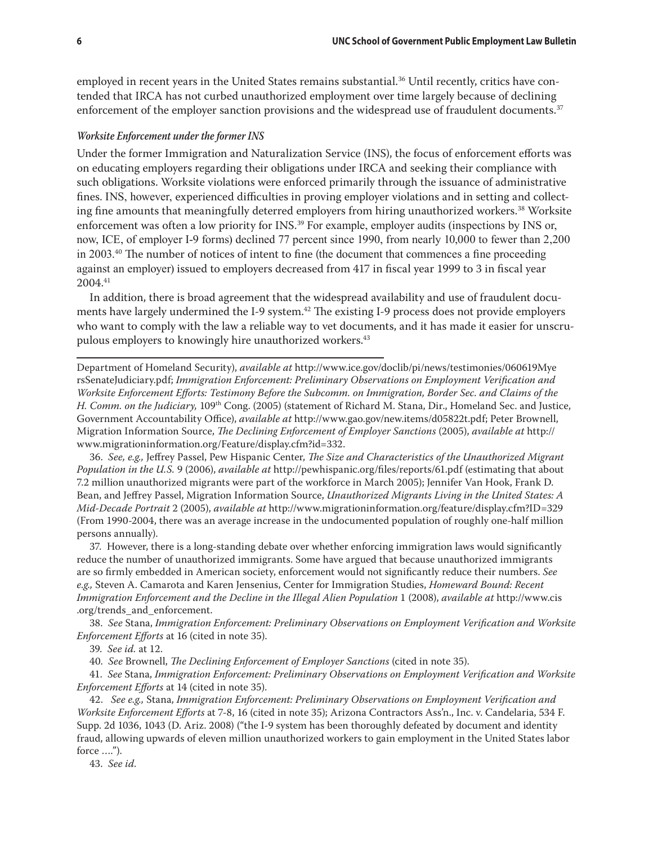employed in recent years in the United States remains substantial.<sup>36</sup> Until recently, critics have contended that IRCA has not curbed unauthorized employment over time largely because of declining enforcement of the employer sanction provisions and the widespread use of fraudulent documents.<sup>37</sup>

#### *Worksite Enforcement under the former INS*

Under the former Immigration and Naturalization Service (INS), the focus of enforcement efforts was on educating employers regarding their obligations under IRCA and seeking their compliance with such obligations. Worksite violations were enforced primarily through the issuance of administrative fines. INS, however, experienced difficulties in proving employer violations and in setting and collecting fine amounts that meaningfully deterred employers from hiring unauthorized workers.<sup>38</sup> Worksite enforcement was often a low priority for INS.<sup>39</sup> For example, employer audits (inspections by INS or, now, ICE, of employer I-9 forms) declined 77 percent since 1990, from nearly 10,000 to fewer than 2,200 in  $2003<sup>40</sup>$  The number of notices of intent to fine (the document that commences a fine proceeding against an employer) issued to employers decreased from 417 in fiscal year 1999 to 3 in fiscal year 2004.41

In addition, there is broad agreement that the widespread availability and use of fraudulent documents have largely undermined the I-9 system.<sup>42</sup> The existing I-9 process does not provide employers who want to comply with the law a reliable way to vet documents, and it has made it easier for unscrupulous employers to knowingly hire unauthorized workers.<sup>43</sup>

Department of Homeland Security), *available at* http://www.ice.gov/doclib/pi/news/testimonies/060619Mye rsSenateJudiciary.pdf; *Immigration Enforcement: Preliminary Observations on Employment Verification and Worksite Enforcement Efforts: Testimony Before the Subcomm. on Immigration, Border Sec. and Claims of the H. Comm. on the Judiciary,* 109th Cong. (2005) (statement of Richard M. Stana, Dir., Homeland Sec. and Justice, Government Accountability Office), *available at* http://www.gao.gov/new.items/d05822t.pdf; Peter Brownell, Migration Information Source, *The Declining Enforcement of Employer Sanctions* (2005), *available at* http:// www.migrationinformation.org/Feature/display.cfm?id=332.

36. *See, e.g.,* Jeffrey Passel, Pew Hispanic Center, *The Size and Characteristics of the Unauthorized Migrant Population in the U.S.* 9 (2006), *available at* http://pewhispanic.org/files/reports/61.pdf (estimating that about 7.2 million unauthorized migrants were part of the workforce in March 2005); Jennifer Van Hook, Frank D. Bean, and Jeffrey Passel, Migration Information Source, *Unauthorized Migrants Living in the United States: A Mid-Decade Portrait* 2 (2005), *available at* http://www.migrationinformation.org/feature/display.cfm?ID=329 (From 1990-2004, there was an average increase in the undocumented population of roughly one-half million persons annually).

37. However, there is a long-standing debate over whether enforcing immigration laws would significantly reduce the number of unauthorized immigrants. Some have argued that because unauthorized immigrants are so firmly embedded in American society, enforcement would not significantly reduce their numbers. *See e.g.,* Steven A. Camarota and Karen Jensenius, Center for Immigration Studies, *Homeward Bound: Recent Immigration Enforcement and the Decline in the Illegal Alien Population* 1 (2008), *available at* http://www.cis .org/trends\_and\_enforcement.

38. *See* Stana, *Immigration Enforcement: Preliminary Observations on Employment Verification and Worksite Enforcement Efforts* at 16 (cited in note 35).

39. *See id.* at 12.

40. *See* Brownell, *The Declining Enforcement of Employer Sanctions* (cited in note 35).

41. *See* Stana, *Immigration Enforcement: Preliminary Observations on Employment Verification and Worksite Enforcement Efforts* at 14 (cited in note 35).

42. *See e.g.,* Stana, *Immigration Enforcement: Preliminary Observations on Employment Verification and Worksite Enforcement Efforts* at 7-8, 16 (cited in note 35); Arizona Contractors Ass'n., Inc. v. Candelaria, 534 F. Supp. 2d 1036, 1043 (D. Ariz. 2008) ("the I-9 system has been thoroughly defeated by document and identity fraud, allowing upwards of eleven million unauthorized workers to gain employment in the United States labor force ….").

43. *See id.*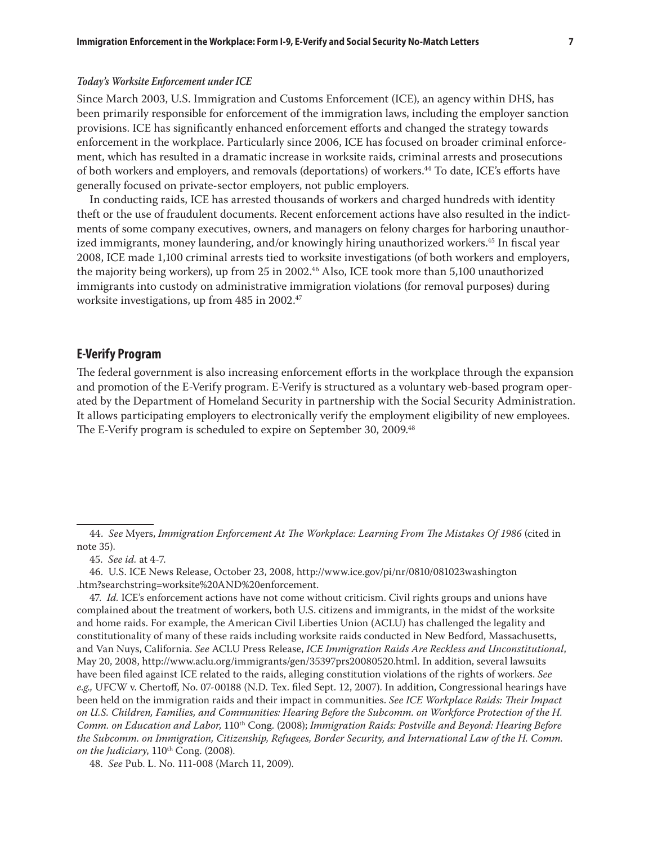#### *Today's Worksite Enforcement under ICE*

Since March 2003, U.S. Immigration and Customs Enforcement (ICE), an agency within DHS, has been primarily responsible for enforcement of the immigration laws, including the employer sanction provisions. ICE has significantly enhanced enforcement efforts and changed the strategy towards enforcement in the workplace. Particularly since 2006, ICE has focused on broader criminal enforcement, which has resulted in a dramatic increase in worksite raids, criminal arrests and prosecutions of both workers and employers, and removals (deportations) of workers.44 To date, ICE's efforts have generally focused on private-sector employers, not public employers.

In conducting raids, ICE has arrested thousands of workers and charged hundreds with identity theft or the use of fraudulent documents. Recent enforcement actions have also resulted in the indictments of some company executives, owners, and managers on felony charges for harboring unauthorized immigrants, money laundering, and/or knowingly hiring unauthorized workers.<sup>45</sup> In fiscal year 2008, ICE made 1,100 criminal arrests tied to worksite investigations (of both workers and employers, the majority being workers), up from 25 in 2002.46 Also, ICE took more than 5,100 unauthorized immigrants into custody on administrative immigration violations (for removal purposes) during worksite investigations, up from 485 in 2002.<sup>47</sup>

## **E-Verify Program**

The federal government is also increasing enforcement efforts in the workplace through the expansion and promotion of the E-Verify program. E-Verify is structured as a voluntary web-based program operated by the Department of Homeland Security in partnership with the Social Security Administration. It allows participating employers to electronically verify the employment eligibility of new employees. The E-Verify program is scheduled to expire on September 30, 2009.<sup>48</sup>

<sup>44.</sup> *See* Myers, *Immigration Enforcement At The Workplace: Learning From The Mistakes Of 1986* (cited in note 35).

<sup>45.</sup> *See id.* at 4-7.

<sup>46.</sup> U.S. ICE News Release, October 23, 2008, http://www.ice.gov/pi/nr/0810/081023washington .htm?searchstring=worksite%20AND%20enforcement.

<sup>47.</sup> *Id.* ICE's enforcement actions have not come without criticism. Civil rights groups and unions have complained about the treatment of workers, both U.S. citizens and immigrants, in the midst of the worksite and home raids. For example, the American Civil Liberties Union (ACLU) has challenged the legality and constitutionality of many of these raids including worksite raids conducted in New Bedford, Massachusetts, and Van Nuys, California. *See* ACLU Press Release, *ICE Immigration Raids Are Reckless and Unconstitutional*, May 20, 2008, http://www.aclu.org/immigrants/gen/35397prs20080520.html. In addition, several lawsuits have been filed against ICE related to the raids, alleging constitution violations of the rights of workers. *See e.g.,* UFCW v. Chertoff, No. 07-00188 (N.D. Tex. filed Sept. 12, 2007). In addition, Congressional hearings have been held on the immigration raids and their impact in communities. *See ICE Workplace Raids: Their Impact on U.S. Children, Families, and Communities: Hearing Before the Subcomm. on Workforce Protection of the H. Comm. on Education and Labor*, 110th Cong. (2008); *Immigration Raids: Postville and Beyond: Hearing Before the Subcomm. on Immigration, Citizenship, Refugees, Border Security, and International Law of the H. Comm.*  on the Judiciary, 110<sup>th</sup> Cong. (2008).

<sup>48.</sup> *See* Pub. L. No. 111-008 (March 11, 2009).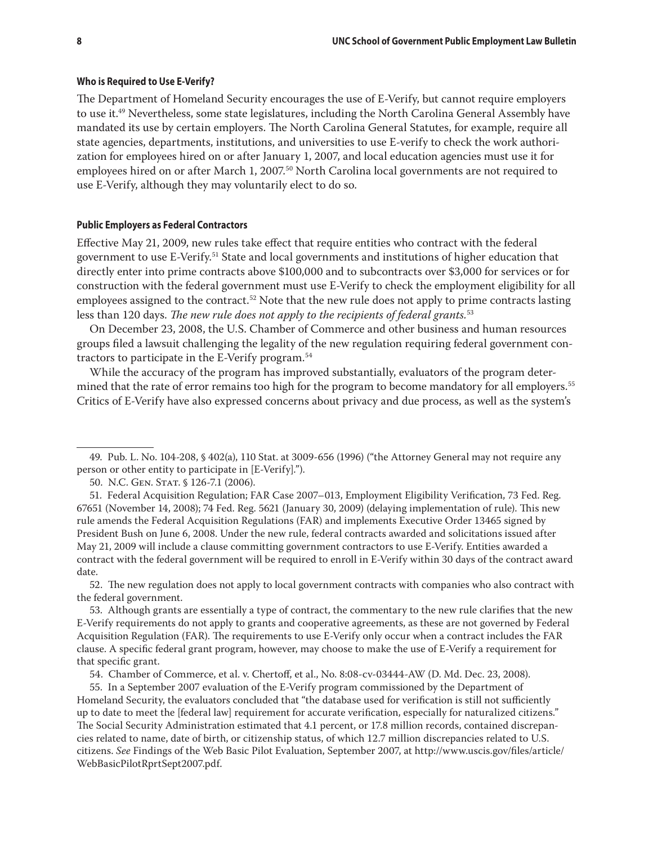#### **Who is Required to Use E-Verify?**

The Department of Homeland Security encourages the use of E-Verify, but cannot require employers to use it.49 Nevertheless, some state legislatures, including the North Carolina General Assembly have mandated its use by certain employers. The North Carolina General Statutes, for example, require all state agencies, departments, institutions, and universities to use E-verify to check the work authorization for employees hired on or after January 1, 2007, and local education agencies must use it for employees hired on or after March 1, 2007.<sup>50</sup> North Carolina local governments are not required to use E-Verify, although they may voluntarily elect to do so.

#### **Public Employers as Federal Contractors**

Effective May 21, 2009, new rules take effect that require entities who contract with the federal government to use E-Verify.51 State and local governments and institutions of higher education that directly enter into prime contracts above \$100,000 and to subcontracts over \$3,000 for services or for construction with the federal government must use E-Verify to check the employment eligibility for all employees assigned to the contract.<sup>52</sup> Note that the new rule does not apply to prime contracts lasting less than 120 days. *The new rule does not apply to the recipients of federal grants.*53

On December 23, 2008, the U.S. Chamber of Commerce and other business and human resources groups filed a lawsuit challenging the legality of the new regulation requiring federal government contractors to participate in the E-Verify program.54

While the accuracy of the program has improved substantially, evaluators of the program determined that the rate of error remains too high for the program to become mandatory for all employers.<sup>55</sup> Critics of E-Verify have also expressed concerns about privacy and due process, as well as the system's

52. The new regulation does not apply to local government contracts with companies who also contract with the federal government.

53. Although grants are essentially a type of contract, the commentary to the new rule clarifies that the new E-Verify requirements do not apply to grants and cooperative agreements, as these are not governed by Federal Acquisition Regulation (FAR). The requirements to use E-Verify only occur when a contract includes the FAR clause. A specific federal grant program, however, may choose to make the use of E-Verify a requirement for that specific grant.

54. Chamber of Commerce, et al. v. Chertoff, et al., No. 8:08-cv-03444-AW (D. Md. Dec. 23, 2008).

55. In a September 2007 evaluation of the E-Verify program commissioned by the Department of Homeland Security, the evaluators concluded that "the database used for verification is still not sufficiently up to date to meet the [federal law] requirement for accurate verification, especially for naturalized citizens." The Social Security Administration estimated that 4.1 percent, or 17.8 million records, contained discrepancies related to name, date of birth, or citizenship status, of which 12.7 million discrepancies related to U.S. citizens. *See* Findings of the Web Basic Pilot Evaluation, September 2007, at http://www.uscis.gov/files/article/ WebBasicPilotRprtSept2007.pdf.

<sup>49.</sup> Pub. L. No. 104-208, § 402(a), 110 Stat. at 3009-656 (1996) ("the Attorney General may not require any person or other entity to participate in [E-Verify].").

<sup>50.</sup> N.C. GEN. STAT. § 126-7.1 (2006).

<sup>51.</sup> Federal Acquisition Regulation; FAR Case 2007–013, Employment Eligibility Verification, 73 Fed. Reg. 67651 (November 14, 2008); 74 Fed. Reg. 5621 (January 30, 2009) (delaying implementation of rule). This new rule amends the Federal Acquisition Regulations (FAR) and implements Executive Order 13465 signed by President Bush on June 6, 2008. Under the new rule, federal contracts awarded and solicitations issued after May 21, 2009 will include a clause committing government contractors to use E-Verify. Entities awarded a contract with the federal government will be required to enroll in E-Verify within 30 days of the contract award date.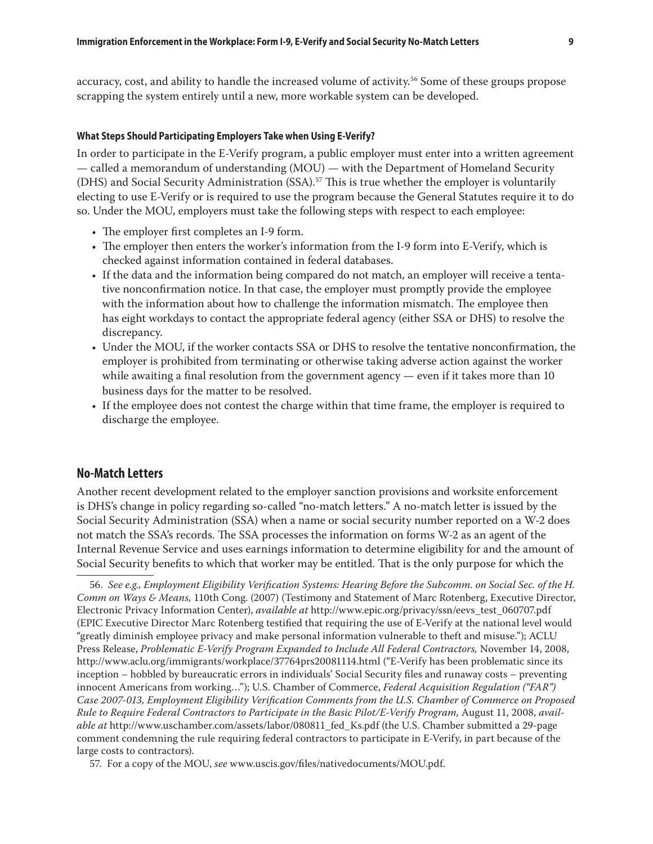accuracy, cost, and ability to handle the increased volume of activity.<sup>56</sup> Some of these groups propose scrapping the system entirely until a new, more workable system can be developed.

## **What Steps Should Participating Employers Take when Using E-Verify?**

In order to participate in the E-Verify program, a public employer must enter into a written agreement — called a memorandum of understanding (MOU) — with the Department of Homeland Security (DHS) and Social Security Administration (SSA).<sup>57</sup> This is true whether the employer is voluntarily electing to use E-Verify or is required to use the program because the General Statutes require it to do so. Under the MOU, employers must take the following steps with respect to each employee:

- The employer first completes an I-9 form.
- The employer then enters the worker's information from the I-9 form into E-Verify, which is checked against information contained in federal databases.
- If the data and the information being compared do not match, an employer will receive a tentative nonconfirmation notice. In that case, the employer must promptly provide the employee with the information about how to challenge the information mismatch. The employee then has eight workdays to contact the appropriate federal agency (either SSA or DHS) to resolve the discrepancy.
- • Under the MOU, if the worker contacts SSA or DHS to resolve the tentative nonconfirmation, the employer is prohibited from terminating or otherwise taking adverse action against the worker while awaiting a final resolution from the government agency — even if it takes more than 10 business days for the matter to be resolved.
- • If the employee does not contest the charge within that time frame, the employer is required to discharge the employee.

#### **No-Match Letters**

Another recent development related to the employer sanction provisions and worksite enforcement is DHS's change in policy regarding so-called "no-match letters." A no-match letter is issued by the Social Security Administration (SSA) when a name or social security number reported on a W-2 does not match the SSA's records. The SSA processes the information on forms W-2 as an agent of the Internal Revenue Service and uses earnings information to determine eligibility for and the amount of Social Security benefits to which that worker may be entitled. That is the only purpose for which the

57. For a copy of the MOU, *see* www.uscis.gov/files/nativedocuments/MOU.pdf.

<sup>56.</sup> *See e.g., Employment Eligibility Verification Systems: Hearing Before the Subcomm. on Social Sec. of the H. Comm on Ways & Means,* 110th Cong. (2007) (Testimony and Statement of Marc Rotenberg, Executive Director, Electronic Privacy Information Center), *available at* http://www.epic.org/privacy/ssn/eevs\_test\_060707.pdf (EPIC Executive Director Marc Rotenberg testified that requiring the use of E-Verify at the national level would "greatly diminish employee privacy and make personal information vulnerable to theft and misuse."); ACLU Press Release, *Problematic E-Verify Program Expanded to Include All Federal Contractors,* November 14, 2008, http://www.aclu.org/immigrants/workplace/37764prs20081114.html ("E-Verify has been problematic since its inception – hobbled by bureaucratic errors in individuals' Social Security files and runaway costs – preventing innocent Americans from working…"); U.S. Chamber of Commerce, *Federal Acquisition Regulation ("FAR") Case 2007-013, Employment Eligibility Verification Comments from the U.S. Chamber of Commerce on Proposed Rule to Require Federal Contractors to Participate in the Basic Pilot/E-Verify Program,* August 11, 2008, *available at* http://www.uschamber.com/assets/labor/080811\_fed\_Ks.pdf (the U.S. Chamber submitted a 29-page comment condemning the rule requiring federal contractors to participate in E-Verify, in part because of the large costs to contractors).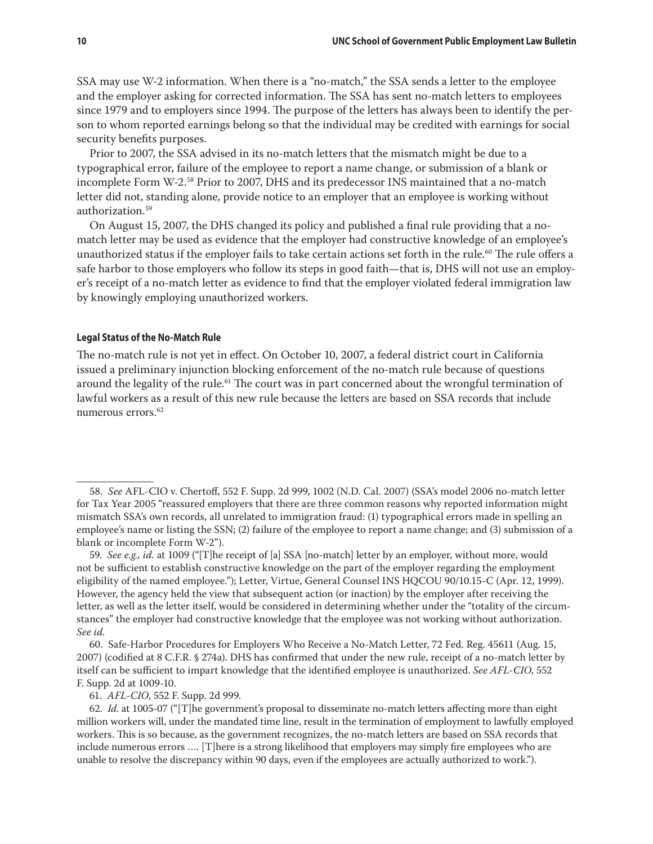SSA may use W-2 information. When there is a "no-match," the SSA sends a letter to the employee and the employer asking for corrected information. The SSA has sent no-match letters to employees since 1979 and to employers since 1994. The purpose of the letters has always been to identify the person to whom reported earnings belong so that the individual may be credited with earnings for social security benefits purposes.

Prior to 2007, the SSA advised in its no-match letters that the mismatch might be due to a typographical error, failure of the employee to report a name change, or submission of a blank or incomplete Form W-2.58 Prior to 2007, DHS and its predecessor INS maintained that a no-match letter did not, standing alone, provide notice to an employer that an employee is working without authorization.59

On August 15, 2007, the DHS changed its policy and published a final rule providing that a nomatch letter may be used as evidence that the employer had constructive knowledge of an employee's unauthorized status if the employer fails to take certain actions set forth in the rule.<sup>60</sup> The rule offers a safe harbor to those employers who follow its steps in good faith—that is, DHS will not use an employer's receipt of a no-match letter as evidence to find that the employer violated federal immigration law by knowingly employing unauthorized workers.

#### **Legal Status of the No-Match Rule**

The no-match rule is not yet in effect. On October 10, 2007, a federal district court in California issued a preliminary injunction blocking enforcement of the no-match rule because of questions around the legality of the rule.<sup>61</sup> The court was in part concerned about the wrongful termination of lawful workers as a result of this new rule because the letters are based on SSA records that include numerous errors $62$ 

61. *AFL-CIO*, 552 F. Supp. 2d 999.

<sup>58.</sup> *See* AFL-CIO v. Chertoff, 552 F. Supp. 2d 999, 1002 (N.D. Cal. 2007) (SSA's model 2006 no-match letter for Tax Year 2005 "reassured employers that there are three common reasons why reported information might mismatch SSA's own records, all unrelated to immigration fraud: (1) typographical errors made in spelling an employee's name or listing the SSN; (2) failure of the employee to report a name change; and (3) submission of a blank or incomplete Form W-2").

<sup>59.</sup> *See e.g., id.* at 1009 ("[T]he receipt of [a] SSA [no-match] letter by an employer, without more, would not be sufficient to establish constructive knowledge on the part of the employer regarding the employment eligibility of the named employee."); Letter, Virtue, General Counsel INS HQCOU 90/10.15-C (Apr. 12, 1999). However, the agency held the view that subsequent action (or inaction) by the employer after receiving the letter, as well as the letter itself, would be considered in determining whether under the "totality of the circumstances" the employer had constructive knowledge that the employee was not working without authorization. *See id.*

<sup>60.</sup> Safe-Harbor Procedures for Employers Who Receive a No-Match Letter, 72 Fed. Reg. 45611 (Aug. 15, 2007) (codified at 8 C.F.R. § 274a). DHS has confirmed that under the new rule, receipt of a no-match letter by itself can be sufficient to impart knowledge that the identified employee is unauthorized. *See AFL-CIO*, 552 F. Supp. 2d at 1009-10.

<sup>62.</sup> *Id*. at 1005-07 ("[T]he government's proposal to disseminate no-match letters affecting more than eight million workers will, under the mandated time line, result in the termination of employment to lawfully employed workers. This is so because, as the government recognizes, the no-match letters are based on SSA records that include numerous errors …. [T]here is a strong likelihood that employers may simply fire employees who are unable to resolve the discrepancy within 90 days, even if the employees are actually authorized to work.").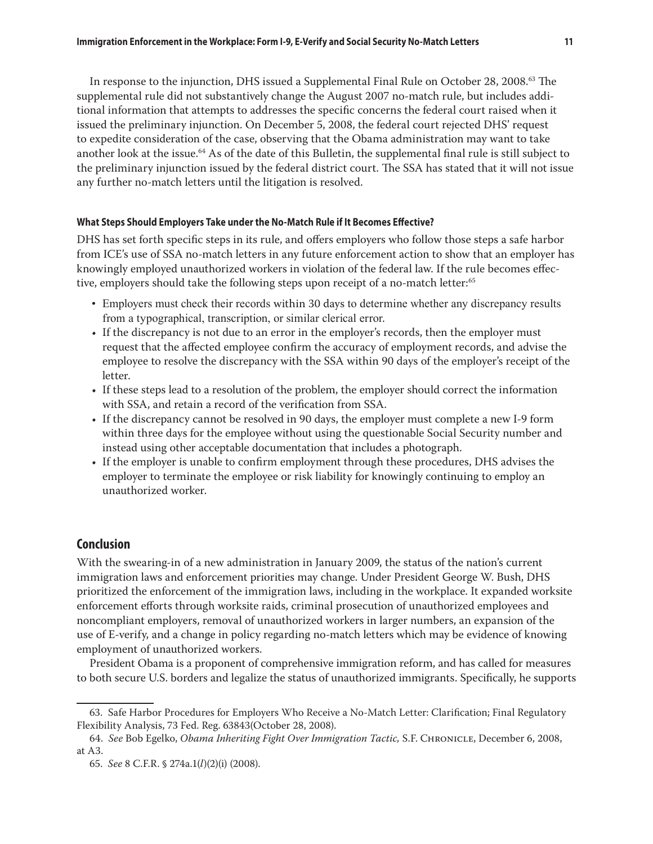In response to the injunction, DHS issued a Supplemental Final Rule on October 28, 2008.<sup>63</sup> The supplemental rule did not substantively change the August 2007 no-match rule, but includes additional information that attempts to addresses the specific concerns the federal court raised when it issued the preliminary injunction. On December 5, 2008, the federal court rejected DHS' request to expedite consideration of the case, observing that the Obama administration may want to take another look at the issue.64 As of the date of this Bulletin, the supplemental final rule is still subject to the preliminary injunction issued by the federal district court. The SSA has stated that it will not issue any further no-match letters until the litigation is resolved.

#### **What Steps Should Employers Take under the No-Match Rule if It Becomes Effective?**

DHS has set forth specific steps in its rule, and offers employers who follow those steps a safe harbor from ICE's use of SSA no-match letters in any future enforcement action to show that an employer has knowingly employed unauthorized workers in violation of the federal law. If the rule becomes effective, employers should take the following steps upon receipt of a no-match letter:<sup>65</sup>

- Employers must check their records within 30 days to determine whether any discrepancy results from a typographical, transcription, or similar clerical error.
- If the discrepancy is not due to an error in the employer's records, then the employer must request that the affected employee confirm the accuracy of employment records, and advise the employee to resolve the discrepancy with the SSA within 90 days of the employer's receipt of the letter.
- If these steps lead to a resolution of the problem, the employer should correct the information with SSA, and retain a record of the verification from SSA.
- If the discrepancy cannot be resolved in 90 days, the employer must complete a new I-9 form within three days for the employee without using the questionable Social Security number and instead using other acceptable documentation that includes a photograph.
- • If the employer is unable to confirm employment through these procedures, DHS advises the employer to terminate the employee or risk liability for knowingly continuing to employ an unauthorized worker.

## **Conclusion**

With the swearing-in of a new administration in January 2009, the status of the nation's current immigration laws and enforcement priorities may change. Under President George W. Bush, DHS prioritized the enforcement of the immigration laws, including in the workplace. It expanded worksite enforcement efforts through worksite raids, criminal prosecution of unauthorized employees and noncompliant employers, removal of unauthorized workers in larger numbers, an expansion of the use of E-verify, and a change in policy regarding no-match letters which may be evidence of knowing employment of unauthorized workers.

President Obama is a proponent of comprehensive immigration reform, and has called for measures to both secure U.S. borders and legalize the status of unauthorized immigrants. Specifically, he supports

<sup>63.</sup> Safe Harbor Procedures for Employers Who Receive a No-Match Letter: Clarification; Final Regulatory Flexibility Analysis, 73 Fed. Reg. 63843(October 28, 2008).

<sup>64.</sup> *See* Bob Egelko, *Obama Inheriting Fight Over Immigration Tactic,* S.F. Chronicle, December 6, 2008, at A3.

<sup>65.</sup> *See* 8 C.F.R. § 274a.1(*l*)(2)(i) (2008).